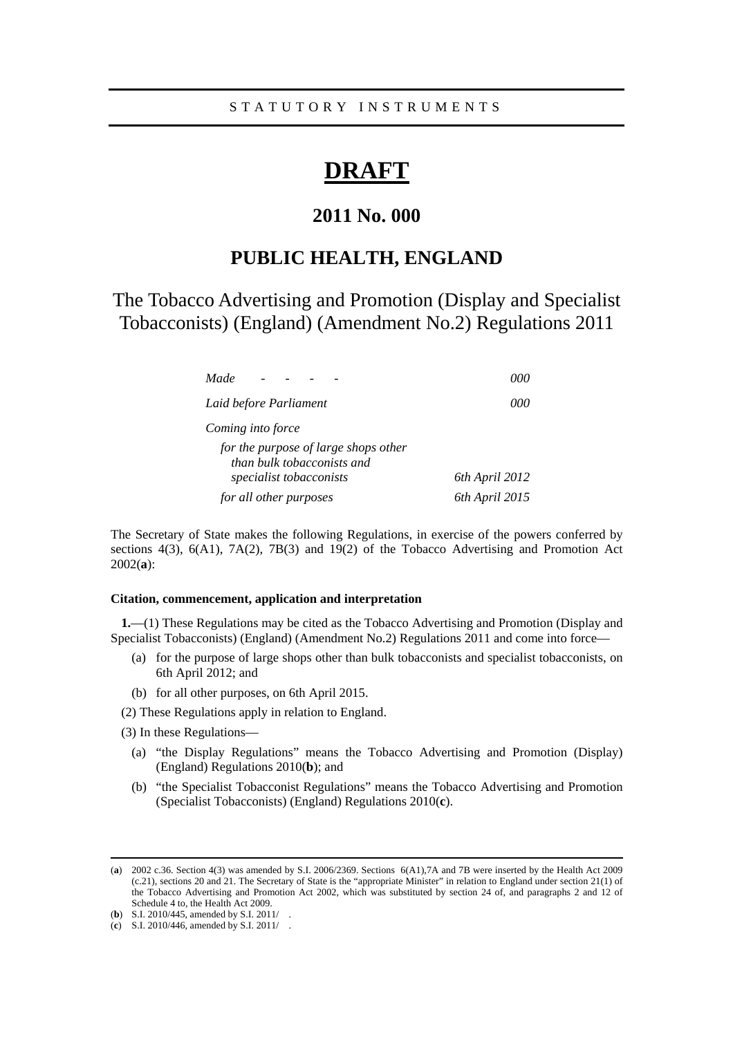# **DRAFT**

# **2011 No. 000**

# **PUBLIC HEALTH, ENGLAND**

The Tobacco Advertising and Promotion (Display and Specialist Tobacconists) (England) (Amendment No.2) Regulations 2011

| Made                                                               | 000            |
|--------------------------------------------------------------------|----------------|
| Laid before Parliament                                             | 000            |
| Coming into force                                                  |                |
| for the purpose of large shops other<br>than bulk tobacconists and |                |
| specialist tobacconists                                            | 6th April 2012 |
| for all other purposes                                             | 6th April 2015 |

The Secretary of State makes the following Regulations, in exercise of the powers conferred by sections 4(3), 6(A1), 7A(2), 7B(3) and 19(2) of the Tobacco Advertising and Promotion Act 2002(**a**):

## **Citation, commencement, application and interpretation**

**1.**—(1) These Regulations may be cited as the Tobacco Advertising and Promotion (Display and Specialist Tobacconists) (England) (Amendment No.2) Regulations 2011 and come into force—

- (a) for the purpose of large shops other than bulk tobacconists and specialist tobacconists, on 6th April 2012; and
- (b) for all other purposes, on 6th April 2015.
- (2) These Regulations apply in relation to England.
- (3) In these Regulations—
	- (a) "the Display Regulations" means the Tobacco Advertising and Promotion (Display) (England) Regulations 2010(**b**); and
	- (b) "the Specialist Tobacconist Regulations" means the Tobacco Advertising and Promotion (Specialist Tobacconists) (England) Regulations 2010(**c**).

 <sup>(</sup>**a**) 2002 c.36. Section 4(3) was amended by S.I. 2006/2369. Sections 6(A1),7A and 7B were inserted by the Health Act 2009 (c.21), sections 20 and 21. The Secretary of State is the "appropriate Minister" in relation to England under section 21(1) of the Tobacco Advertising and Promotion Act 2002, which was substituted by section 24 of, and paragraphs 2 and 12 of Schedule 4 to, the Health Act 2009.

<sup>(</sup>**b**) S.I. 2010/445, amended by S.I. 2011/

<sup>(</sup>**c**) S.I. 2010/446, amended by S.I. 2011/ .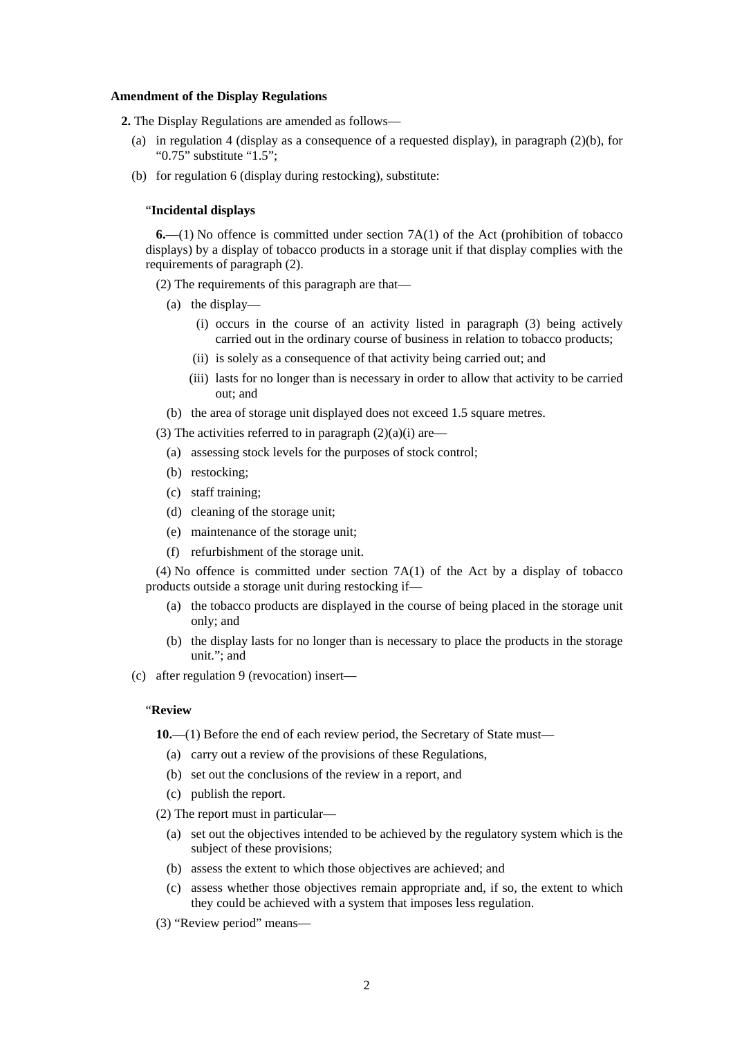#### **Amendment of the Display Regulations**

**2.** The Display Regulations are amended as follows—

- (a) in regulation 4 (display as a consequence of a requested display), in paragraph  $(2)(b)$ , for "0.75" substitute "1.5";
- (b) for regulation 6 (display during restocking), substitute:

### "**Incidental displays**

**6.**—(1) No offence is committed under section 7A(1) of the Act (prohibition of tobacco displays) by a display of tobacco products in a storage unit if that display complies with the requirements of paragraph (2).

(2) The requirements of this paragraph are that—

- (a) the display—
	- (i) occurs in the course of an activity listed in paragraph (3) being actively carried out in the ordinary course of business in relation to tobacco products;
	- (ii) is solely as a consequence of that activity being carried out; and
	- (iii) lasts for no longer than is necessary in order to allow that activity to be carried out; and
- (b) the area of storage unit displayed does not exceed 1.5 square metres.

(3) The activities referred to in paragraph  $(2)(a)(i)$  are—

- (a) assessing stock levels for the purposes of stock control;
- (b) restocking;
- (c) staff training;
- (d) cleaning of the storage unit;
- (e) maintenance of the storage unit;
- (f) refurbishment of the storage unit.

 $(4)$  No offence is committed under section  $7A(1)$  of the Act by a display of tobacco products outside a storage unit during restocking if—

- (a) the tobacco products are displayed in the course of being placed in the storage unit only; and
- (b) the display lasts for no longer than is necessary to place the products in the storage unit."; and

(c) after regulation 9 (revocation) insert—

#### "**Review**

**10.**—(1) Before the end of each review period, the Secretary of State must—

- (a) carry out a review of the provisions of these Regulations,
- (b) set out the conclusions of the review in a report, and
- (c) publish the report.
- (2) The report must in particular—
	- (a) set out the objectives intended to be achieved by the regulatory system which is the subject of these provisions;
	- (b) assess the extent to which those objectives are achieved; and
	- (c) assess whether those objectives remain appropriate and, if so, the extent to which they could be achieved with a system that imposes less regulation.
- (3) "Review period" means—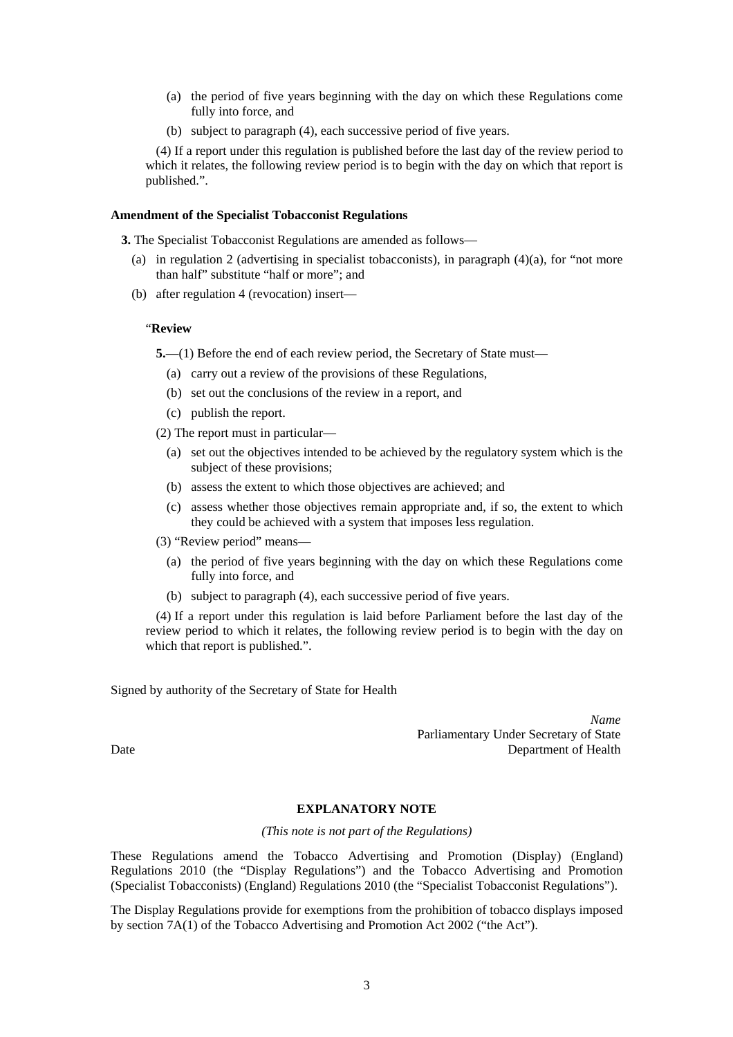- (a) the period of five years beginning with the day on which these Regulations come fully into force, and
- (b) subject to paragraph (4), each successive period of five years.

(4) If a report under this regulation is published before the last day of the review period to which it relates, the following review period is to begin with the day on which that report is published.".

### **Amendment of the Specialist Tobacconist Regulations**

**3.** The Specialist Tobacconist Regulations are amended as follows—

- (a) in regulation 2 (advertising in specialist tobacconists), in paragraph (4)(a), for "not more than half" substitute "half or more"; and
- (b) after regulation 4 (revocation) insert—

#### "**Review**

**5.**—(1) Before the end of each review period, the Secretary of State must—

- (a) carry out a review of the provisions of these Regulations,
- (b) set out the conclusions of the review in a report, and
- (c) publish the report.

(2) The report must in particular—

- (a) set out the objectives intended to be achieved by the regulatory system which is the subject of these provisions;
- (b) assess the extent to which those objectives are achieved; and
- (c) assess whether those objectives remain appropriate and, if so, the extent to which they could be achieved with a system that imposes less regulation.
- (3) "Review period" means—
	- (a) the period of five years beginning with the day on which these Regulations come fully into force, and
	- (b) subject to paragraph (4), each successive period of five years.

(4) If a report under this regulation is laid before Parliament before the last day of the review period to which it relates, the following review period is to begin with the day on which that report is published.".

Signed by authority of the Secretary of State for Health

*Name* Parliamentary Under Secretary of State Date Department of Health

# **EXPLANATORY NOTE**

#### *(This note is not part of the Regulations)*

These Regulations amend the Tobacco Advertising and Promotion (Display) (England) Regulations 2010 (the "Display Regulations") and the Tobacco Advertising and Promotion (Specialist Tobacconists) (England) Regulations 2010 (the "Specialist Tobacconist Regulations").

The Display Regulations provide for exemptions from the prohibition of tobacco displays imposed by section 7A(1) of the Tobacco Advertising and Promotion Act 2002 ("the Act").